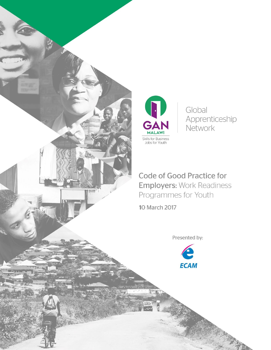



Global Apprenticeship Network

Code of Good Practice for **Employers: Work Readiness** Programmes for Youth

Presented by:

**ECAM** 

10 March 2017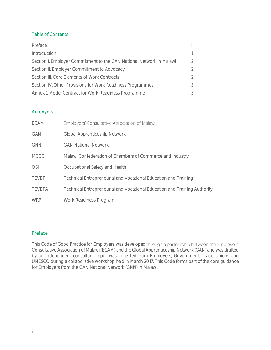## Table of Contents

| Preface                                                              |  |
|----------------------------------------------------------------------|--|
| Introduction                                                         |  |
| Section I. Employer Commitment to the GAN National Network in Malawi |  |
| Section II. Employer Commitment to Advocacy                          |  |
| Section III. Core Elements of Work Contracts                         |  |
| Section IV. Other Provisions for Work Readiness Programmes           |  |
| Annex 1: Model Contract for Work Readiness Programme                 |  |

### Acronyms

| ECAM          | Employers' Consultative Association of Malawi                             |
|---------------|---------------------------------------------------------------------------|
| GAN           | <b>Global Apprenticeship Network</b>                                      |
| <b>GNN</b>    | <b>GAN National Network</b>                                               |
| <b>MCCCI</b>  | Malawi Confederation of Chambers of Commerce and Industry                 |
| OSH           | Occupational Safety and Health                                            |
| TEVET         | Technical Entrepreneurial and Vocational Education and Training           |
| <b>TEVETA</b> | Technical Entrepreneurial and Vocational Education and Training Authority |
| <b>WRP</b>    | Work Readiness Program                                                    |

### <span id="page-1-0"></span>Preface

This Code of Good Practice for Employers was developed through a partnership between the Employers' Consultative Association of Malawi (ECAM) and the Global Apprenticeship Network (GAN) and was drafted by an independent consultant. Input was collected from Employers, Government, Trade Unions and UNESCO during a collaborative workshop held in March 2017. This Code forms part of the core guidance for Employers from the GAN National Network (GNN) in Malawi.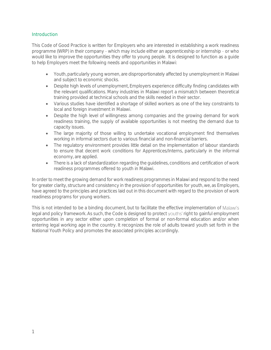### <span id="page-2-0"></span>**Introduction**

This Code of Good Practice is written for Employers who are interested in establishing a work readiness programme (WRP) in their company - which may include either an apprenticeship or internship - or who would like to improve the opportunities they offer to young people. It is designed to function as a guide to help Employers meet the following needs and opportunities in Malawi:

- Youth, particularly young women, are disproportionately affected by unemployment in Malawi and subject to economic shocks.
- Despite high levels of unemployment, Employers experience difficulty finding candidates with the relevant qualifications. Many industries in Malawi report a mismatch between theoretical training provided at technical schools and the skills needed in their sector.
- Various studies have identified a shortage of skilled workers as one of the key constraints to local and foreign investment in Malawi.
- Despite the high level of willingness among companies and the growing demand for work readiness training, the supply of available opportunities is not meeting the demand due to capacity issues.
- The large majority of those willing to undertake vocational employment find themselves working in informal sectors due to various financial and non-financial barriers.
- The regulatory environment provides little detail on the implementation of labour standards to ensure that decent work conditions for Apprentices/Interns, particularly in the informal economy, are applied.
- There is a lack of standardization regarding the guidelines, conditions and certification of work readiness programmes offered to youth in Malawi.

In order to meet the growing demand for work readiness programmes in Malawi and respond to the need for greater clarity, structure and consistency in the provision of opportunities for youth, we, as Employers, have agreed to the principles and practices laid out in this document with regard to the provision of work readiness programs for young workers.

This is not intended to be a binding document, but to facilitate the effective implementation of Malawi's legal and policy framework. As such, the Code is designed to protect youths' right to gainful employment opportunities in any sector either upon completion of formal or non-formal education and/or when entering legal working age in the country. It recognizes the role of adults toward youth set forth in the National Youth Policy and promotes the associated principles accordingly.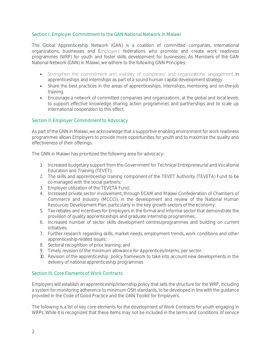## <span id="page-3-0"></span>Section I. Employer Commitment to the GAN National Network in Malawi

The Global Apprenticeship Network (GAN) is a coalition of committed companies, international organizations, businesses and Employers' federations who promote and create work readiness programmes (WRP) for youth and foster skills development for businesses. As Members of the GAN National Network (GNN) in Malawi, we adhere to the following GNN Principles:

- Strengthen the commitment and visibility of companies' and organizations' engagement in apprenticeships and internships as part of a sound human capital development strategy.
- Share the best practices in the areas of apprenticeships, internships, mentoring and on-the-job training.
- Encourage a network of committed companies and organizations, at the global and local levels, to support effective knowledge sharing action programmes and partnerships and to scale up international cooperation to this effect.

### <span id="page-3-1"></span>Section II. Employer Commitment to Advocacy

As part of the GNN in Malawi, we acknowledge that a supportive enabling environment for work readiness programmes allows Employers to provide more opportunities for youth and to maximize the quality and effectiveness of their offerings.

The GNN in Malawi has prioritized the following area for advocacy:

- 1. Increased budgetary support from the Government for Technical Entrepreneurial and Vocational Education and Training (TEVET);
- 2. The skills and apprenticeship training component of the TEVET Authority (TEVETA) Fund to be co-managed with the social partners;
- 3. Employer utilization of the TEVETA Fund;
- 4. Increased private sector involvement, through ECAM and Malawi Confederation of Chambers of Commerce and Industry (MCCCI), in the development and review of the National Human Resources Development Plan, particularly in the key growth sectors of the economy;
- 5. Tax rebates and incentives for Employers in the formal and informal sector that demonstrate the provision of quality apprenticeships and graduate internship programmes;
- 6. Increased number of sector skills development centres/programmes and building on current initiatives;
- 7. Further research regarding skills, market needs, employment trends, work conditions and other apprenticeship-related issues;
- 8. Sectoral recognition of prior learning; and
- 9. Timely revision of the minimum allowance for Apprentices/Interns, per sector.
- 10. Revision of the apprenticeship policy framework to take into account new developments in the delivery of national apprenticeship programmes

### <span id="page-3-2"></span>Section III. Core Elements of Work Contracts

Employers will establish an apprenticeship/internship policy that sets the structure for the WRP, including a system for monitoring adherence to minimum OSH standards, to be developed in line with the guidance provided in the Code of Good Practice and the GNN Toolkit for Employers.

The following is a list of key core elements for the development of Work Contracts for youth engaging in WRPs. While it is recognized that these items may not be included in the terms and conditions of service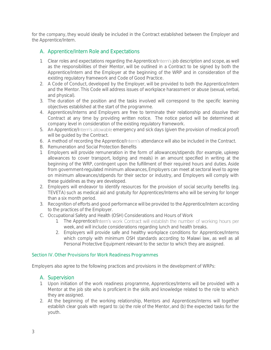for the company, they would ideally be included in the Contract established between the Employer and the Apprentice/Intern.

# A. Apprentice/Intern Role and Expectations

- 1. Clear roles and expectations regarding the Apprentice/Intern's job description and scope, as well as the responsibilities of their Mentor, will be outlined in a Contract to be signed by both the Apprentice/Intern and the Employer at the beginning of the WRP and in consideration of the existing regulatory framework and Code of Good Practice.
- 2. A Code of Conduct, developed by the Employer, will be provided to both the Apprentice/Intern and the Mentor. This Code will address issues of workplace harassment or abuse (sexual, verbal, and physical).
- 3. The duration of the position and the tasks involved will correspond to the specific learning objectives established at the start of the programme.
- 4. Apprentices/Interns and Employers are free to terminate their relationship and dissolve their Contract at any time by providing written notice. The notice period will be determined at company level in consideration of the existing regulatory framework.
- 5. An Apprentice/Intern's allowable emergency and sick days (given the provision of medical proof) will be guided by the Contract.
- 6. A method of recording the Apprentice/Intern's attendance will also be included in the Contract.
- B. Remuneration and Social Protection Benefits
- 1. Employers will provide remuneration in the form of allowances/stipends (for example, upkeep allowances to cover transport, lodging and meals) in an amount specified in writing at the beginning of the WRP, contingent upon the fulfillment of their required hours and duties. Aside from government-regulated minimum allowances, Employers can meet at sectoral level to agree on minimum allowances/stipends for their sector or industry, and Employers will comply with these guidelines as they are developed.
- 2. Employers will endeavor to identify resources for the provision of social security benefits (e.g. TEVETA) such as medical aid and gratuity for Apprentices/Interns who will be serving for longer than a six month period.
- 3. Recognition of efforts and good performance will be provided to the Apprentice/Intern according to the practices of the Employer.
- C. Occupational Safety and Health (OSH) Considerations and Hours of Work
	- 1. The Apprentice/Intern's work Contract will establish the number of working hours per week, and will include considerations regarding lunch and health breaks.
	- 2. Employers will provide safe and healthy workplace conditions for Apprentices/Interns which comply with minimum OSH standards according to Malawi law, as well as all Personal Protective Equipment relevant to the sector to which they are assigned.

### <span id="page-4-0"></span>Section IV. Other Provisions for Work Readiness Programmes

Employers also agree to the following practices and provisions in the development of WRPs:

### A. Supervision

- 1. Upon initiation of the work readiness programme, Apprentices/Interns will be provided with a Mentor at the job site who is proficient in the skills and knowledge related to the role to which they are assigned.
- 2. At the beginning of the working relationship, Mentors and Apprentices/Interns will together establish clear goals with regard to: (a) the role of the Mentor, and (b) the expected tasks for the youth.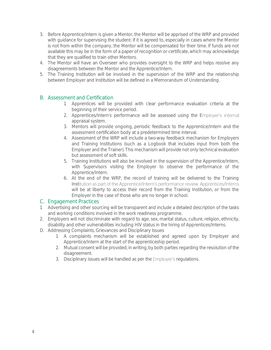- 3. Before Apprentice/Intern is given a Mentor, the Mentor will be apprised of the WRP and provided with guidance for supervising the student. If it is agreed to, especially in cases where the Mentor is not from within the company, the Mentor will be compensated for their time. If funds are not available this may be in the form of a paper of recognition or certificate, which may acknowledge that they are qualified to train other Mentors.
- 4. The Mentor will have an Overseer who provides oversight to the WRP and helps resolve any disagreements between the Mentor and the Apprentice/Intern.
- 5. The Training Institution will be involved in the supervision of the WRP and the relationship between Employer and Institution will be defined in a Memorandum of Understanding.

# B. Assessment and Certification

- 1. Apprentices will be provided with clear performance evaluation criteria at the beginning of their service period.
- 2. Apprentices/Intern's performance will be assessed using the Employer's internal appraisal system.
- 3. Mentors will provide ongoing, periodic feedback to the Apprentice/Intern and the assessment certification body at a predetermined time interval.
- 4. Assessment of the WRP will include a two-way feedback mechanism for Employers and Training Institutions (such as a Logbook that includes input from both the Employer and the Trainer). This mechanism will provide not only technical evaluation but assessment of soft skills.
- 5. Training Institutions will also be involved in the supervision of the Apprentice/Intern, with Supervisors visiting the Employer to observe the performance of the Apprentice/Intern.
- 6. At the end of the WRP, the record of training will be delivered to the Training Institution as part of the Apprentice/Intern's performance review. Apprentices/Interns will be at liberty to access their record from the Training Institution, or from the Employer in the case of those who are no longer in school.

## C. Engagement Practices

- 1. Advertising and other sourcing will be transparent and include a detailed description of the tasks and working conditions involved in the work readiness programme.
- 2. Employers will not discriminate with regard to age, sex, marital status, culture, religion, ethnicity, disability and other vulnerabilities including HIV status in the hiring of Apprentices/Interns.
- D. Addressing Complaints, Grievances and Disciplinary Issues
	- 1. A complaints mechanism will be established and agreed upon by Employer and Apprentice/Intern at the start of the apprenticeship period.
	- 2. Mutual consent will be provided, in writing, by both parties regarding the resolution of the disagreement.
	- 3. Disciplinary issues will be handled as per the Employer's regulations.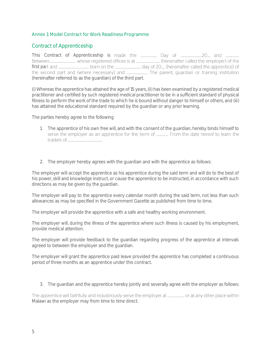### <span id="page-6-0"></span>Annex 1: Model Contract for Work Readiness Programme

# Contract of Apprenticeship

This Contract of Apprenticeship is first pa (hereinafter referred to as the guardian) of the third part.

(i) Whereas the apprentice has attained the age of 15 years, (ii) has been examined by a registered medical practitioner and certified by such registered medical practitioner to be in a sufficient standard of physical fitness to perform the work of the trade to which he is bound without danger to himself or others, and (iii) has attained the educational standard required by the guardian or any prior learning.

The parties hereby agree to the following

- 1. The apprentice of his own free will, and with the consent of the guardian, hereby binds himself to serve the employer as an apprentice for the term of ..................... From the date hereof to learn the
- 2. The employer hereby agrees with the guardian and with the apprentice as follows:

The employer will accept the apprentice as his apprentice during the said term and will do to the best of his power, skill and knowledge instruct, or cause the apprentice to be instructed, in accordance with such directions as may be given by the guardian.

The employer will pay to the apprentice every calendar month during the said term, not less than such allowances as may be specified in the Government Gazette as published from time to time.

The employer will provide the apprentice with a safe and healthy working environment.

The employer will, during the illness of the apprentice where such illness is caused by his employment, provide medical attention.

The employer will provide feedback to the guardian regarding progress of the apprentice at intervals agreed to between the employer and the guardian.

The employer will grant the apprentice paid leave provided the apprentice has completed a continuous period of three months as an apprentice under this contract.

3. The guardian and the apprentice hereby jointly and severally agree with the employer as follows:

The apprentice will faithfully and industriously serve the employer at ............................. or at any other place within Malawi as the employer may from time to time direct.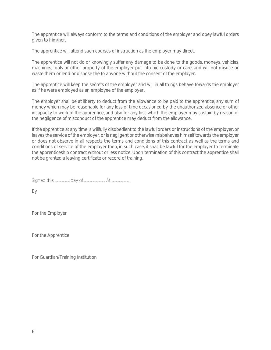The apprentice will always conform to the terms and conditions of the employer and obey lawful orders given to him/her.

The apprentice will attend such courses of instruction as the employer may direct.

The apprentice will not do or knowingly suffer any damage to be done to the goods, moneys, vehicles, machines, tools or other property of the employer put into hic custody or care, and will not misuse or waste them or lend or dispose the to anyone without the consent of the employer.

The apprentice will keep the secrets of the employer and will in all things behave towards the employer as if he were employed as an employee of the employer.

The employer shall be at liberty to deduct from the allowance to be paid to the apprentice, any sum of money which may be reasonable for any loss of time occasioned by the unauthorized absence or other incapacity to work of the apprentice, and also for any loss which the employer may sustain by reason of the negligence of misconduct of the apprentice may deduct from the allowance.

If the apprentice at any time is willfully disobedient to the lawful orders or instructions of the employer, or leaves the service of the employer, or is negligent or otherwise misbehaves himself towards the employer or does not observe in all respects the terms and conditions of this contract as well as the terms and conditions of service of the employer then, in such case, it shall be lawful for the employer to terminate the apprenticeship contract without or less notice. Upon termination of this contract the apprentice shall not be granted a leaving certificate or record of training.

By

For the Employer

For the Apprentice

For Guardian/Training Institution